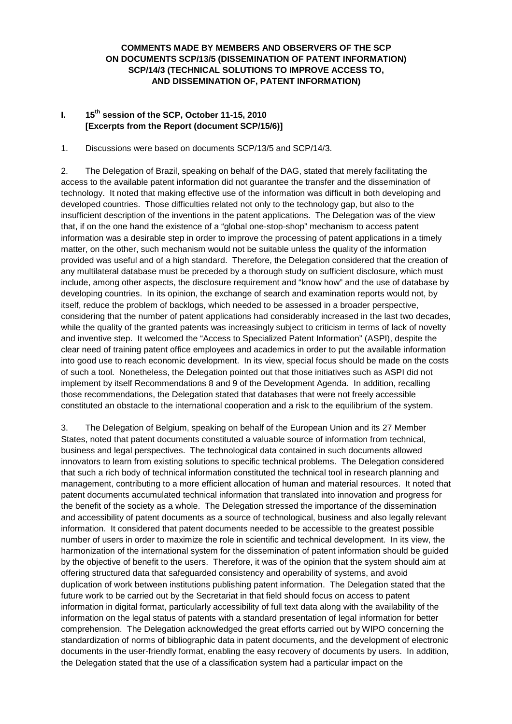## **COMMENTS MADE BY MEMBERS AND OBSERVERS OF THE SCP ON DOCUMENTS SCP/13/5 (DISSEMINATION OF PATENT INFORMATION) SCP/14/3 (TECHNICAL SOLUTIONS TO IMPROVE ACCESS TO, AND DISSEMINATION OF, PATENT INFORMATION)**

# **I. 15th session of the SCP, October 11-15, 2010 [Excerpts from the Report (document SCP/15/6)]**

1. Discussions were based on documents SCP/13/5 and SCP/14/3.

2. The Delegation of Brazil, speaking on behalf of the DAG, stated that merely facilitating the access to the available patent information did not guarantee the transfer and the dissemination of technology. It noted that making effective use of the information was difficult in both developing and developed countries. Those difficulties related not only to the technology gap, but also to the insufficient description of the inventions in the patent applications. The Delegation was of the view that, if on the one hand the existence of a "global one-stop-shop" mechanism to access patent information was a desirable step in order to improve the processing of patent applications in a timely matter, on the other, such mechanism would not be suitable unless the quality of the information provided was useful and of a high standard. Therefore, the Delegation considered that the creation of any multilateral database must be preceded by a thorough study on sufficient disclosure, which must include, among other aspects, the disclosure requirement and "know how" and the use of database by developing countries. In its opinion, the exchange of search and examination reports would not, by itself, reduce the problem of backlogs, which needed to be assessed in a broader perspective, considering that the number of patent applications had considerably increased in the last two decades, while the quality of the granted patents was increasingly subject to criticism in terms of lack of novelty and inventive step. It welcomed the "Access to Specialized Patent Information" (ASPI), despite the clear need of training patent office employees and academics in order to put the available information into good use to reach economic development. In its view, special focus should be made on the costs of such a tool. Nonetheless, the Delegation pointed out that those initiatives such as ASPI did not implement by itself Recommendations 8 and 9 of the Development Agenda. In addition, recalling those recommendations, the Delegation stated that databases that were not freely accessible constituted an obstacle to the international cooperation and a risk to the equilibrium of the system.

3. The Delegation of Belgium, speaking on behalf of the European Union and its 27 Member States, noted that patent documents constituted a valuable source of information from technical, business and legal perspectives. The technological data contained in such documents allowed innovators to learn from existing solutions to specific technical problems. The Delegation considered that such a rich body of technical information constituted the technical tool in research planning and management, contributing to a more efficient allocation of human and material resources. It noted that patent documents accumulated technical information that translated into innovation and progress for the benefit of the society as a whole. The Delegation stressed the importance of the dissemination and accessibility of patent documents as a source of technological, business and also legally relevant information. It considered that patent documents needed to be accessible to the greatest possible number of users in order to maximize the role in scientific and technical development. In its view, the harmonization of the international system for the dissemination of patent information should be guided by the objective of benefit to the users. Therefore, it was of the opinion that the system should aim at offering structured data that safeguarded consistency and operability of systems, and avoid duplication of work between institutions publishing patent information. The Delegation stated that the future work to be carried out by the Secretariat in that field should focus on access to patent information in digital format, particularly accessibility of full text data along with the availability of the information on the legal status of patents with a standard presentation of legal information for better comprehension. The Delegation acknowledged the great efforts carried out by WIPO concerning the standardization of norms of bibliographic data in patent documents, and the development of electronic documents in the user-friendly format, enabling the easy recovery of documents by users. In addition, the Delegation stated that the use of a classification system had a particular impact on the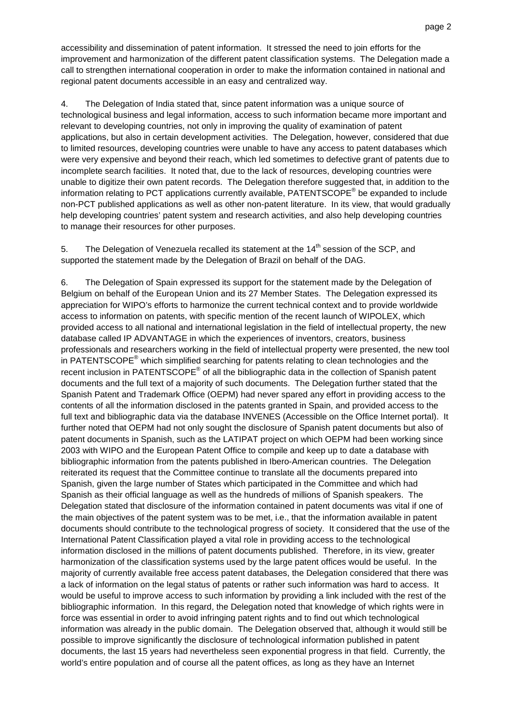accessibility and dissemination of patent information. It stressed the need to join efforts for the improvement and harmonization of the different patent classification systems. The Delegation made a call to strengthen international cooperation in order to make the information contained in national and regional patent documents accessible in an easy and centralized way.

4. The Delegation of India stated that, since patent information was a unique source of technological business and legal information, access to such information became more important and relevant to developing countries, not only in improving the quality of examination of patent applications, but also in certain development activities. The Delegation, however, considered that due to limited resources, developing countries were unable to have any access to patent databases which were very expensive and beyond their reach, which led sometimes to defective grant of patents due to incomplete search facilities. It noted that, due to the lack of resources, developing countries were unable to digitize their own patent records. The Delegation therefore suggested that, in addition to the information relating to PCT applications currently available, PATENTSCOPE<sup>®</sup> be expanded to include non-PCT published applications as well as other non-patent literature. In its view, that would gradually help developing countries' patent system and research activities, and also help developing countries to manage their resources for other purposes.

5. The Delegation of Venezuela recalled its statement at the  $14<sup>th</sup>$  session of the SCP, and supported the statement made by the Delegation of Brazil on behalf of the DAG.

6. The Delegation of Spain expressed its support for the statement made by the Delegation of Belgium on behalf of the European Union and its 27 Member States. The Delegation expressed its appreciation for WIPO's efforts to harmonize the current technical context and to provide worldwide access to information on patents, with specific mention of the recent launch of WIPOLEX, which provided access to all national and international legislation in the field of intellectual property, the new database called IP ADVANTAGE in which the experiences of inventors, creators, business professionals and researchers working in the field of intellectual property were presented, the new tool in PATENTSCOPE<sup>®</sup> which simplified searching for patents relating to clean technologies and the recent inclusion in PATENTSCOPE<sup>®</sup> of all the bibliographic data in the collection of Spanish patent documents and the full text of a majority of such documents. The Delegation further stated that the Spanish Patent and Trademark Office (OEPM) had never spared any effort in providing access to the contents of all the information disclosed in the patents granted in Spain, and provided access to the full text and bibliographic data via the database INVENES (Accessible on the Office Internet portal). It further noted that OEPM had not only sought the disclosure of Spanish patent documents but also of patent documents in Spanish, such as the LATIPAT project on which OEPM had been working since 2003 with WIPO and the European Patent Office to compile and keep up to date a database with bibliographic information from the patents published in Ibero-American countries. The Delegation reiterated its request that the Committee continue to translate all the documents prepared into Spanish, given the large number of States which participated in the Committee and which had Spanish as their official language as well as the hundreds of millions of Spanish speakers. The Delegation stated that disclosure of the information contained in patent documents was vital if one of the main objectives of the patent system was to be met, i.e., that the information available in patent documents should contribute to the technological progress of society. It considered that the use of the International Patent Classification played a vital role in providing access to the technological information disclosed in the millions of patent documents published. Therefore, in its view, greater harmonization of the classification systems used by the large patent offices would be useful. In the majority of currently available free access patent databases, the Delegation considered that there was a lack of information on the legal status of patents or rather such information was hard to access. It would be useful to improve access to such information by providing a link included with the rest of the bibliographic information. In this regard, the Delegation noted that knowledge of which rights were in force was essential in order to avoid infringing patent rights and to find out which technological information was already in the public domain. The Delegation observed that, although it would still be possible to improve significantly the disclosure of technological information published in patent documents, the last 15 years had nevertheless seen exponential progress in that field. Currently, the world's entire population and of course all the patent offices, as long as they have an Internet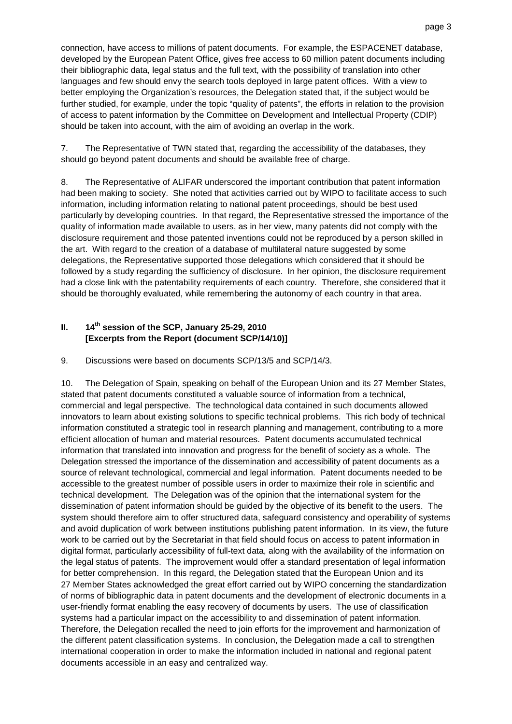connection, have access to millions of patent documents. For example, the ESPACENET database, developed by the European Patent Office, gives free access to 60 million patent documents including their bibliographic data, legal status and the full text, with the possibility of translation into other languages and few should envy the search tools deployed in large patent offices. With a view to better employing the Organization's resources, the Delegation stated that, if the subject would be further studied, for example, under the topic "quality of patents", the efforts in relation to the provision of access to patent information by the Committee on Development and Intellectual Property (CDIP) should be taken into account, with the aim of avoiding an overlap in the work.

7. The Representative of TWN stated that, regarding the accessibility of the databases, they should go beyond patent documents and should be available free of charge.

8. The Representative of ALIFAR underscored the important contribution that patent information had been making to society. She noted that activities carried out by WIPO to facilitate access to such information, including information relating to national patent proceedings, should be best used particularly by developing countries. In that regard, the Representative stressed the importance of the quality of information made available to users, as in her view, many patents did not comply with the disclosure requirement and those patented inventions could not be reproduced by a person skilled in the art. With regard to the creation of a database of multilateral nature suggested by some delegations, the Representative supported those delegations which considered that it should be followed by a study regarding the sufficiency of disclosure. In her opinion, the disclosure requirement had a close link with the patentability requirements of each country. Therefore, she considered that it should be thoroughly evaluated, while remembering the autonomy of each country in that area.

## **II. 14th session of the SCP, January 25-29, 2010 [Excerpts from the Report (document SCP/14/10)]**

#### 9. Discussions were based on documents SCP/13/5 and SCP/14/3.

10. The Delegation of Spain, speaking on behalf of the European Union and its 27 Member States, stated that patent documents constituted a valuable source of information from a technical, commercial and legal perspective. The technological data contained in such documents allowed innovators to learn about existing solutions to specific technical problems. This rich body of technical information constituted a strategic tool in research planning and management, contributing to a more efficient allocation of human and material resources. Patent documents accumulated technical information that translated into innovation and progress for the benefit of society as a whole. The Delegation stressed the importance of the dissemination and accessibility of patent documents as a source of relevant technological, commercial and legal information. Patent documents needed to be accessible to the greatest number of possible users in order to maximize their role in scientific and technical development. The Delegation was of the opinion that the international system for the dissemination of patent information should be guided by the objective of its benefit to the users. The system should therefore aim to offer structured data, safeguard consistency and operability of systems and avoid duplication of work between institutions publishing patent information. In its view, the future work to be carried out by the Secretariat in that field should focus on access to patent information in digital format, particularly accessibility of full-text data, along with the availability of the information on the legal status of patents. The improvement would offer a standard presentation of legal information for better comprehension. In this regard, the Delegation stated that the European Union and its 27 Member States acknowledged the great effort carried out by WIPO concerning the standardization of norms of bibliographic data in patent documents and the development of electronic documents in a user-friendly format enabling the easy recovery of documents by users. The use of classification systems had a particular impact on the accessibility to and dissemination of patent information. Therefore, the Delegation recalled the need to join efforts for the improvement and harmonization of the different patent classification systems. In conclusion, the Delegation made a call to strengthen international cooperation in order to make the information included in national and regional patent documents accessible in an easy and centralized way.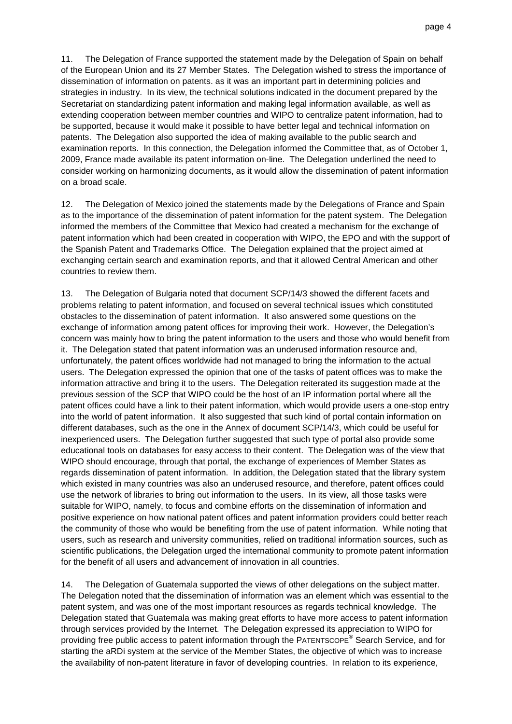11. The Delegation of France supported the statement made by the Delegation of Spain on behalf of the European Union and its 27 Member States. The Delegation wished to stress the importance of dissemination of information on patents. as it was an important part in determining policies and strategies in industry. In its view, the technical solutions indicated in the document prepared by the Secretariat on standardizing patent information and making legal information available, as well as extending cooperation between member countries and WIPO to centralize patent information, had to be supported, because it would make it possible to have better legal and technical information on patents. The Delegation also supported the idea of making available to the public search and examination reports. In this connection, the Delegation informed the Committee that, as of October 1, 2009, France made available its patent information on-line. The Delegation underlined the need to consider working on harmonizing documents, as it would allow the dissemination of patent information on a broad scale.

12. The Delegation of Mexico joined the statements made by the Delegations of France and Spain as to the importance of the dissemination of patent information for the patent system. The Delegation informed the members of the Committee that Mexico had created a mechanism for the exchange of patent information which had been created in cooperation with WIPO, the EPO and with the support of the Spanish Patent and Trademarks Office. The Delegation explained that the project aimed at exchanging certain search and examination reports, and that it allowed Central American and other countries to review them.

13. The Delegation of Bulgaria noted that document SCP/14/3 showed the different facets and problems relating to patent information, and focused on several technical issues which constituted obstacles to the dissemination of patent information. It also answered some questions on the exchange of information among patent offices for improving their work. However, the Delegation's concern was mainly how to bring the patent information to the users and those who would benefit from it. The Delegation stated that patent information was an underused information resource and, unfortunately, the patent offices worldwide had not managed to bring the information to the actual users. The Delegation expressed the opinion that one of the tasks of patent offices was to make the information attractive and bring it to the users. The Delegation reiterated its suggestion made at the previous session of the SCP that WIPO could be the host of an IP information portal where all the patent offices could have a link to their patent information, which would provide users a one-stop entry into the world of patent information. It also suggested that such kind of portal contain information on different databases, such as the one in the Annex of document SCP/14/3, which could be useful for inexperienced users. The Delegation further suggested that such type of portal also provide some educational tools on databases for easy access to their content. The Delegation was of the view that WIPO should encourage, through that portal, the exchange of experiences of Member States as regards dissemination of patent information. In addition, the Delegation stated that the library system which existed in many countries was also an underused resource, and therefore, patent offices could use the network of libraries to bring out information to the users. In its view, all those tasks were suitable for WIPO, namely, to focus and combine efforts on the dissemination of information and positive experience on how national patent offices and patent information providers could better reach the community of those who would be benefiting from the use of patent information. While noting that users, such as research and university communities, relied on traditional information sources, such as scientific publications, the Delegation urged the international community to promote patent information for the benefit of all users and advancement of innovation in all countries.

14. The Delegation of Guatemala supported the views of other delegations on the subject matter. The Delegation noted that the dissemination of information was an element which was essential to the patent system, and was one of the most important resources as regards technical knowledge. The Delegation stated that Guatemala was making great efforts to have more access to patent information through services provided by the Internet. The Delegation expressed its appreciation to WIPO for providing free public access to patent information through the PATENTSCOPE® Search Service, and for starting the aRDi system at the service of the Member States, the objective of which was to increase the availability of non-patent literature in favor of developing countries. In relation to its experience,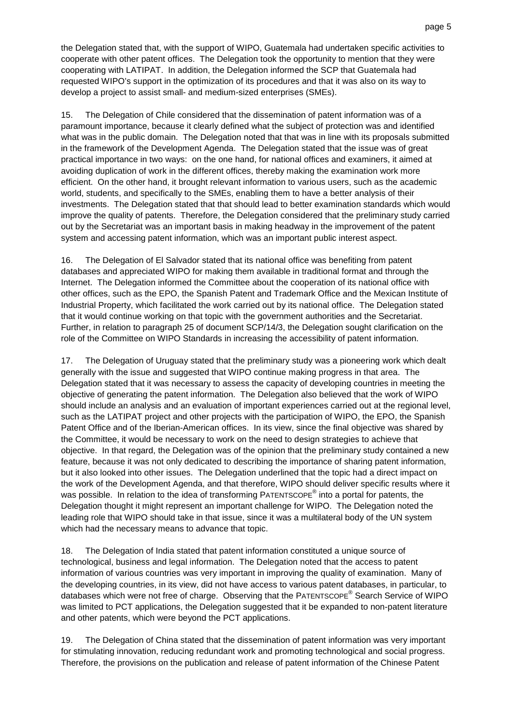the Delegation stated that, with the support of WIPO, Guatemala had undertaken specific activities to cooperate with other patent offices. The Delegation took the opportunity to mention that they were cooperating with LATIPAT. In addition, the Delegation informed the SCP that Guatemala had requested WIPO's support in the optimization of its procedures and that it was also on its way to develop a project to assist small- and medium-sized enterprises (SMEs).

15. The Delegation of Chile considered that the dissemination of patent information was of a paramount importance, because it clearly defined what the subject of protection was and identified what was in the public domain. The Delegation noted that that was in line with its proposals submitted in the framework of the Development Agenda. The Delegation stated that the issue was of great practical importance in two ways: on the one hand, for national offices and examiners, it aimed at avoiding duplication of work in the different offices, thereby making the examination work more efficient. On the other hand, it brought relevant information to various users, such as the academic world, students, and specifically to the SMEs, enabling them to have a better analysis of their investments. The Delegation stated that that should lead to better examination standards which would improve the quality of patents. Therefore, the Delegation considered that the preliminary study carried out by the Secretariat was an important basis in making headway in the improvement of the patent system and accessing patent information, which was an important public interest aspect.

16. The Delegation of El Salvador stated that its national office was benefiting from patent databases and appreciated WIPO for making them available in traditional format and through the Internet. The Delegation informed the Committee about the cooperation of its national office with other offices, such as the EPO, the Spanish Patent and Trademark Office and the Mexican Institute of Industrial Property, which facilitated the work carried out by its national office. The Delegation stated that it would continue working on that topic with the government authorities and the Secretariat. Further, in relation to paragraph 25 of document SCP/14/3, the Delegation sought clarification on the role of the Committee on WIPO Standards in increasing the accessibility of patent information.

17. The Delegation of Uruguay stated that the preliminary study was a pioneering work which dealt generally with the issue and suggested that WIPO continue making progress in that area. The Delegation stated that it was necessary to assess the capacity of developing countries in meeting the objective of generating the patent information. The Delegation also believed that the work of WIPO should include an analysis and an evaluation of important experiences carried out at the regional level, such as the LATIPAT project and other projects with the participation of WIPO, the EPO, the Spanish Patent Office and of the Iberian-American offices. In its view, since the final objective was shared by the Committee, it would be necessary to work on the need to design strategies to achieve that objective. In that regard, the Delegation was of the opinion that the preliminary study contained a new feature, because it was not only dedicated to describing the importance of sharing patent information, but it also looked into other issues. The Delegation underlined that the topic had a direct impact on the work of the Development Agenda, and that therefore, WIPO should deliver specific results where it was possible. In relation to the idea of transforming PATENTSCOPE<sup>®</sup> into a portal for patents, the Delegation thought it might represent an important challenge for WIPO. The Delegation noted the leading role that WIPO should take in that issue, since it was a multilateral body of the UN system which had the necessary means to advance that topic.

18. The Delegation of India stated that patent information constituted a unique source of technological, business and legal information. The Delegation noted that the access to patent information of various countries was very important in improving the quality of examination. Many of the developing countries, in its view, did not have access to various patent databases, in particular, to databases which were not free of charge. Observing that the PATENTSCOPE<sup>®</sup> Search Service of WIPO was limited to PCT applications, the Delegation suggested that it be expanded to non-patent literature and other patents, which were beyond the PCT applications.

19. The Delegation of China stated that the dissemination of patent information was very important for stimulating innovation, reducing redundant work and promoting technological and social progress. Therefore, the provisions on the publication and release of patent information of the Chinese Patent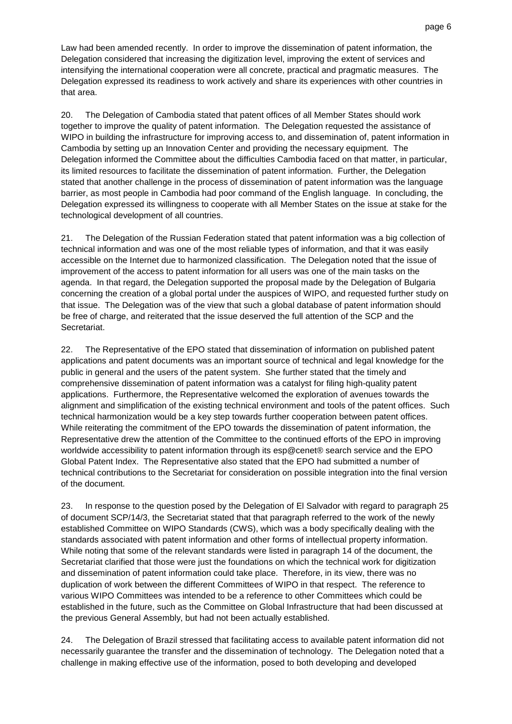Law had been amended recently. In order to improve the dissemination of patent information, the Delegation considered that increasing the digitization level, improving the extent of services and intensifying the international cooperation were all concrete, practical and pragmatic measures. The Delegation expressed its readiness to work actively and share its experiences with other countries in that area.

20. The Delegation of Cambodia stated that patent offices of all Member States should work together to improve the quality of patent information. The Delegation requested the assistance of WIPO in building the infrastructure for improving access to, and dissemination of, patent information in Cambodia by setting up an Innovation Center and providing the necessary equipment. The Delegation informed the Committee about the difficulties Cambodia faced on that matter, in particular, its limited resources to facilitate the dissemination of patent information. Further, the Delegation stated that another challenge in the process of dissemination of patent information was the language barrier, as most people in Cambodia had poor command of the English language. In concluding, the Delegation expressed its willingness to cooperate with all Member States on the issue at stake for the technological development of all countries.

21. The Delegation of the Russian Federation stated that patent information was a big collection of technical information and was one of the most reliable types of information, and that it was easily accessible on the Internet due to harmonized classification. The Delegation noted that the issue of improvement of the access to patent information for all users was one of the main tasks on the agenda. In that regard, the Delegation supported the proposal made by the Delegation of Bulgaria concerning the creation of a global portal under the auspices of WIPO, and requested further study on that issue. The Delegation was of the view that such a global database of patent information should be free of charge, and reiterated that the issue deserved the full attention of the SCP and the Secretariat.

22. The Representative of the EPO stated that dissemination of information on published patent applications and patent documents was an important source of technical and legal knowledge for the public in general and the users of the patent system. She further stated that the timely and comprehensive dissemination of patent information was a catalyst for filing high-quality patent applications. Furthermore, the Representative welcomed the exploration of avenues towards the alignment and simplification of the existing technical environment and tools of the patent offices. Such technical harmonization would be a key step towards further cooperation between patent offices. While reiterating the commitment of the EPO towards the dissemination of patent information, the Representative drew the attention of the Committee to the continued efforts of the EPO in improving worldwide accessibility to patent information through its esp@cenet® search service and the EPO Global Patent Index. The Representative also stated that the EPO had submitted a number of technical contributions to the Secretariat for consideration on possible integration into the final version of the document.

23. In response to the question posed by the Delegation of El Salvador with regard to paragraph 25 of document SCP/14/3, the Secretariat stated that that paragraph referred to the work of the newly established Committee on WIPO Standards (CWS), which was a body specifically dealing with the standards associated with patent information and other forms of intellectual property information. While noting that some of the relevant standards were listed in paragraph 14 of the document, the Secretariat clarified that those were just the foundations on which the technical work for digitization and dissemination of patent information could take place. Therefore, in its view, there was no duplication of work between the different Committees of WIPO in that respect. The reference to various WIPO Committees was intended to be a reference to other Committees which could be established in the future, such as the Committee on Global Infrastructure that had been discussed at the previous General Assembly, but had not been actually established.

24. The Delegation of Brazil stressed that facilitating access to available patent information did not necessarily guarantee the transfer and the dissemination of technology. The Delegation noted that a challenge in making effective use of the information, posed to both developing and developed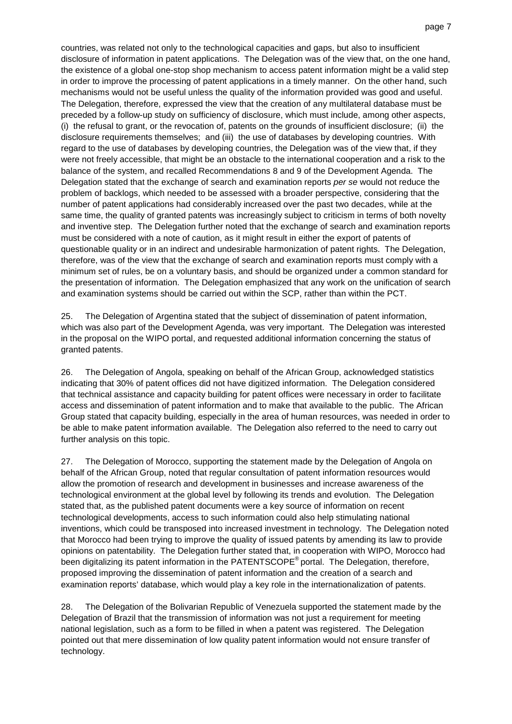countries, was related not only to the technological capacities and gaps, but also to insufficient disclosure of information in patent applications. The Delegation was of the view that, on the one hand, the existence of a global one-stop shop mechanism to access patent information might be a valid step in order to improve the processing of patent applications in a timely manner. On the other hand, such mechanisms would not be useful unless the quality of the information provided was good and useful. The Delegation, therefore, expressed the view that the creation of any multilateral database must be preceded by a follow-up study on sufficiency of disclosure, which must include, among other aspects, (i) the refusal to grant, or the revocation of, patents on the grounds of insufficient disclosure; (ii) the disclosure requirements themselves; and (iii) the use of databases by developing countries. With regard to the use of databases by developing countries, the Delegation was of the view that, if they were not freely accessible, that might be an obstacle to the international cooperation and a risk to the balance of the system, and recalled Recommendations 8 and 9 of the Development Agenda. The Delegation stated that the exchange of search and examination reports per se would not reduce the problem of backlogs, which needed to be assessed with a broader perspective, considering that the number of patent applications had considerably increased over the past two decades, while at the same time, the quality of granted patents was increasingly subject to criticism in terms of both novelty and inventive step. The Delegation further noted that the exchange of search and examination reports must be considered with a note of caution, as it might result in either the export of patents of questionable quality or in an indirect and undesirable harmonization of patent rights. The Delegation, therefore, was of the view that the exchange of search and examination reports must comply with a minimum set of rules, be on a voluntary basis, and should be organized under a common standard for the presentation of information. The Delegation emphasized that any work on the unification of search and examination systems should be carried out within the SCP, rather than within the PCT.

25. The Delegation of Argentina stated that the subject of dissemination of patent information, which was also part of the Development Agenda, was very important. The Delegation was interested in the proposal on the WIPO portal, and requested additional information concerning the status of granted patents.

26. The Delegation of Angola, speaking on behalf of the African Group, acknowledged statistics indicating that 30% of patent offices did not have digitized information. The Delegation considered that technical assistance and capacity building for patent offices were necessary in order to facilitate access and dissemination of patent information and to make that available to the public. The African Group stated that capacity building, especially in the area of human resources, was needed in order to be able to make patent information available. The Delegation also referred to the need to carry out further analysis on this topic.

27. The Delegation of Morocco, supporting the statement made by the Delegation of Angola on behalf of the African Group, noted that regular consultation of patent information resources would allow the promotion of research and development in businesses and increase awareness of the technological environment at the global level by following its trends and evolution. The Delegation stated that, as the published patent documents were a key source of information on recent technological developments, access to such information could also help stimulating national inventions, which could be transposed into increased investment in technology. The Delegation noted that Morocco had been trying to improve the quality of issued patents by amending its law to provide opinions on patentability. The Delegation further stated that, in cooperation with WIPO, Morocco had been digitalizing its patent information in the PATENTSCOPE<sup>®</sup> portal. The Delegation, therefore, proposed improving the dissemination of patent information and the creation of a search and examination reports' database, which would play a key role in the internationalization of patents.

28. The Delegation of the Bolivarian Republic of Venezuela supported the statement made by the Delegation of Brazil that the transmission of information was not just a requirement for meeting national legislation, such as a form to be filled in when a patent was registered. The Delegation pointed out that mere dissemination of low quality patent information would not ensure transfer of technology.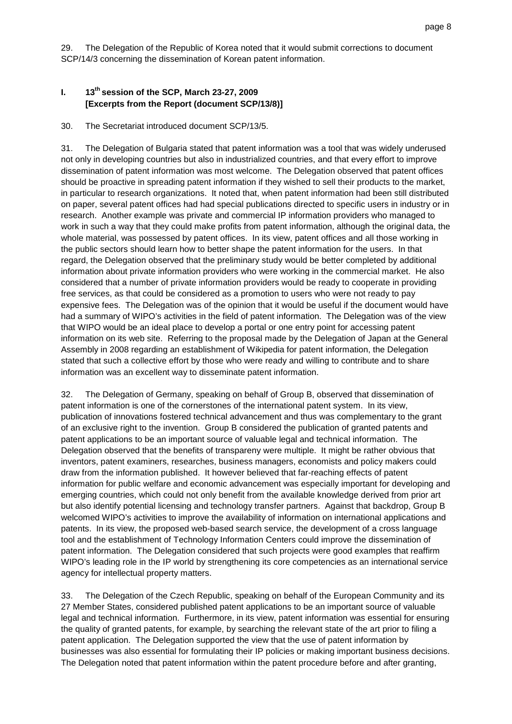29. The Delegation of the Republic of Korea noted that it would submit corrections to document SCP/14/3 concerning the dissemination of Korean patent information.

#### **I. 13th session of the SCP, March 23-27, 2009 [Excerpts from the Report (document SCP/13/8)]**

30. The Secretariat introduced document SCP/13/5.

31. The Delegation of Bulgaria stated that patent information was a tool that was widely underused not only in developing countries but also in industrialized countries, and that every effort to improve dissemination of patent information was most welcome. The Delegation observed that patent offices should be proactive in spreading patent information if they wished to sell their products to the market, in particular to research organizations. It noted that, when patent information had been still distributed on paper, several patent offices had had special publications directed to specific users in industry or in research. Another example was private and commercial IP information providers who managed to work in such a way that they could make profits from patent information, although the original data, the whole material, was possessed by patent offices. In its view, patent offices and all those working in the public sectors should learn how to better shape the patent information for the users. In that regard, the Delegation observed that the preliminary study would be better completed by additional information about private information providers who were working in the commercial market. He also considered that a number of private information providers would be ready to cooperate in providing free services, as that could be considered as a promotion to users who were not ready to pay expensive fees. The Delegation was of the opinion that it would be useful if the document would have had a summary of WIPO's activities in the field of patent information. The Delegation was of the view that WIPO would be an ideal place to develop a portal or one entry point for accessing patent information on its web site. Referring to the proposal made by the Delegation of Japan at the General Assembly in 2008 regarding an establishment of Wikipedia for patent information, the Delegation stated that such a collective effort by those who were ready and willing to contribute and to share information was an excellent way to disseminate patent information.

32. The Delegation of Germany, speaking on behalf of Group B, observed that dissemination of patent information is one of the cornerstones of the international patent system. In its view, publication of innovations fostered technical advancement and thus was complementary to the grant of an exclusive right to the invention. Group B considered the publication of granted patents and patent applications to be an important source of valuable legal and technical information. The Delegation observed that the benefits of transpareny were multiple. It might be rather obvious that inventors, patent examiners, researches, business managers, economists and policy makers could draw from the information published. It however believed that far-reaching effects of patent information for public welfare and economic advancement was especially important for developing and emerging countries, which could not only benefit from the available knowledge derived from prior art but also identify potential licensing and technology transfer partners. Against that backdrop, Group B welcomed WIPO's activities to improve the availability of information on international applications and patents. In its view, the proposed web-based search service, the development of a cross language tool and the establishment of Technology Information Centers could improve the dissemination of patent information. The Delegation considered that such projects were good examples that reaffirm WIPO's leading role in the IP world by strengthening its core competencies as an international service agency for intellectual property matters.

33. The Delegation of the Czech Republic, speaking on behalf of the European Community and its 27 Member States, considered published patent applications to be an important source of valuable legal and technical information. Furthermore, in its view, patent information was essential for ensuring the quality of granted patents, for example, by searching the relevant state of the art prior to filing a patent application. The Delegation supported the view that the use of patent information by businesses was also essential for formulating their IP policies or making important business decisions. The Delegation noted that patent information within the patent procedure before and after granting,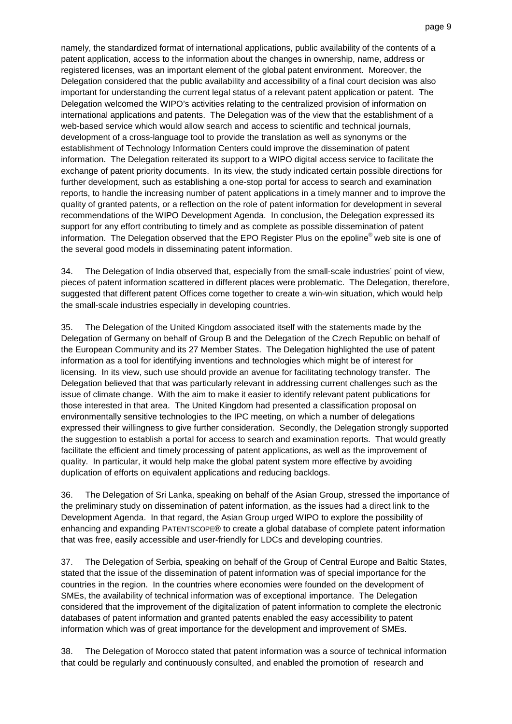namely, the standardized format of international applications, public availability of the contents of a patent application, access to the information about the changes in ownership, name, address or registered licenses, was an important element of the global patent environment. Moreover, the Delegation considered that the public availability and accessibility of a final court decision was also important for understanding the current legal status of a relevant patent application or patent. The Delegation welcomed the WIPO's activities relating to the centralized provision of information on international applications and patents. The Delegation was of the view that the establishment of a web-based service which would allow search and access to scientific and technical journals, development of a cross-language tool to provide the translation as well as synonyms or the establishment of Technology Information Centers could improve the dissemination of patent information. The Delegation reiterated its support to a WIPO digital access service to facilitate the exchange of patent priority documents. In its view, the study indicated certain possible directions for further development, such as establishing a one-stop portal for access to search and examination reports, to handle the increasing number of patent applications in a timely manner and to improve the quality of granted patents, or a reflection on the role of patent information for development in several recommendations of the WIPO Development Agenda. In conclusion, the Delegation expressed its support for any effort contributing to timely and as complete as possible dissemination of patent information. The Delegation observed that the EPO Register Plus on the epoline® web site is one of the several good models in disseminating patent information.

34. The Delegation of India observed that, especially from the small-scale industries' point of view, pieces of patent information scattered in different places were problematic. The Delegation, therefore, suggested that different patent Offices come together to create a win-win situation, which would help the small-scale industries especially in developing countries.

35. The Delegation of the United Kingdom associated itself with the statements made by the Delegation of Germany on behalf of Group B and the Delegation of the Czech Republic on behalf of the European Community and its 27 Member States. The Delegation highlighted the use of patent information as a tool for identifying inventions and technologies which might be of interest for licensing. In its view, such use should provide an avenue for facilitating technology transfer. The Delegation believed that that was particularly relevant in addressing current challenges such as the issue of climate change. With the aim to make it easier to identify relevant patent publications for those interested in that area. The United Kingdom had presented a classification proposal on environmentally sensitive technologies to the IPC meeting, on which a number of delegations expressed their willingness to give further consideration. Secondly, the Delegation strongly supported the suggestion to establish a portal for access to search and examination reports. That would greatly facilitate the efficient and timely processing of patent applications, as well as the improvement of quality. In particular, it would help make the global patent system more effective by avoiding duplication of efforts on equivalent applications and reducing backlogs.

36. The Delegation of Sri Lanka, speaking on behalf of the Asian Group, stressed the importance of the preliminary study on dissemination of patent information, as the issues had a direct link to the Development Agenda. In that regard, the Asian Group urged WIPO to explore the possibility of enhancing and expanding PATENTSCOPE® to create a global database of complete patent information that was free, easily accessible and user-friendly for LDCs and developing countries.

37. The Delegation of Serbia, speaking on behalf of the Group of Central Europe and Baltic States, stated that the issue of the dissemination of patent information was of special importance for the countries in the region. In the countries where economies were founded on the development of SMEs, the availability of technical information was of exceptional importance. The Delegation considered that the improvement of the digitalization of patent information to complete the electronic databases of patent information and granted patents enabled the easy accessibility to patent information which was of great importance for the development and improvement of SMEs.

38. The Delegation of Morocco stated that patent information was a source of technical information that could be regularly and continuously consulted, and enabled the promotion of research and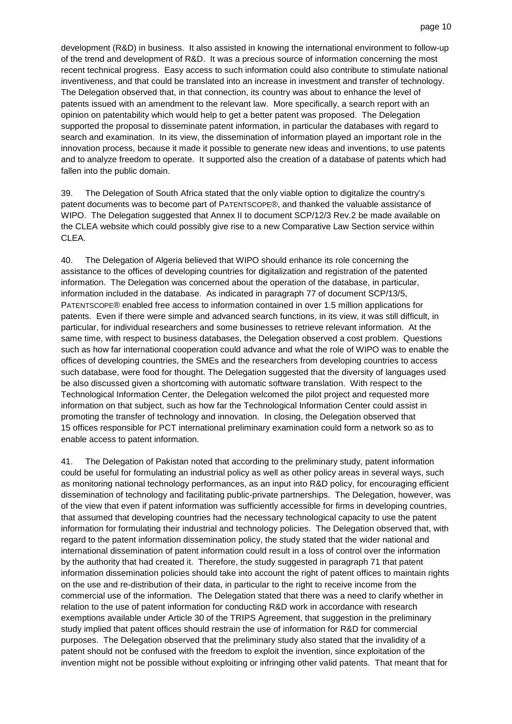development (R&D) in business. It also assisted in knowing the international environment to follow-up of the trend and development of R&D. It was a precious source of information concerning the most recent technical progress. Easy access to such information could also contribute to stimulate national inventiveness, and that could be translated into an increase in investment and transfer of technology. The Delegation observed that, in that connection, its country was about to enhance the level of patents issued with an amendment to the relevant law. More specifically, a search report with an opinion on patentability which would help to get a better patent was proposed. The Delegation supported the proposal to disseminate patent information, in particular the databases with regard to search and examination. In its view, the dissemination of information played an important role in the innovation process, because it made it possible to generate new ideas and inventions, to use patents and to analyze freedom to operate. It supported also the creation of a database of patents which had fallen into the public domain.

39. The Delegation of South Africa stated that the only viable option to digitalize the country's patent documents was to become part of PATENTSCOPE®, and thanked the valuable assistance of WIPO. The Delegation suggested that Annex II to document SCP/12/3 Rev.2 be made available on the CLEA website which could possibly give rise to a new Comparative Law Section service within CLEA.

40. The Delegation of Algeria believed that WIPO should enhance its role concerning the assistance to the offices of developing countries for digitalization and registration of the patented information. The Delegation was concerned about the operation of the database, in particular, information included in the database. As indicated in paragraph 77 of document SCP/13/5, PATENTSCOPE® enabled free access to information contained in over 1.5 million applications for patents. Even if there were simple and advanced search functions, in its view, it was still difficult, in particular, for individual researchers and some businesses to retrieve relevant information. At the same time, with respect to business databases, the Delegation observed a cost problem. Questions such as how far international cooperation could advance and what the role of WIPO was to enable the offices of developing countries, the SMEs and the researchers from developing countries to access such database, were food for thought. The Delegation suggested that the diversity of languages used be also discussed given a shortcoming with automatic software translation. With respect to the Technological Information Center, the Delegation welcomed the pilot project and requested more information on that subject, such as how far the Technological Information Center could assist in promoting the transfer of technology and innovation. In closing, the Delegation observed that 15 offices responsible for PCT international preliminary examination could form a network so as to enable access to patent information.

41. The Delegation of Pakistan noted that according to the preliminary study, patent information could be useful for formulating an industrial policy as well as other policy areas in several ways, such as monitoring national technology performances, as an input into R&D policy, for encouraging efficient dissemination of technology and facilitating public-private partnerships. The Delegation, however, was of the view that even if patent information was sufficiently accessible for firms in developing countries, that assumed that developing countries had the necessary technological capacity to use the patent information for formulating their industrial and technology policies. The Delegation observed that, with regard to the patent information dissemination policy, the study stated that the wider national and international dissemination of patent information could result in a loss of control over the information by the authority that had created it. Therefore, the study suggested in paragraph 71 that patent information dissemination policies should take into account the right of patent offices to maintain rights on the use and re-distribution of their data, in particular to the right to receive income from the commercial use of the information. The Delegation stated that there was a need to clarify whether in relation to the use of patent information for conducting R&D work in accordance with research exemptions available under Article 30 of the TRIPS Agreement, that suggestion in the preliminary study implied that patent offices should restrain the use of information for R&D for commercial purposes. The Delegation observed that the preliminary study also stated that the invalidity of a patent should not be confused with the freedom to exploit the invention, since exploitation of the invention might not be possible without exploiting or infringing other valid patents. That meant that for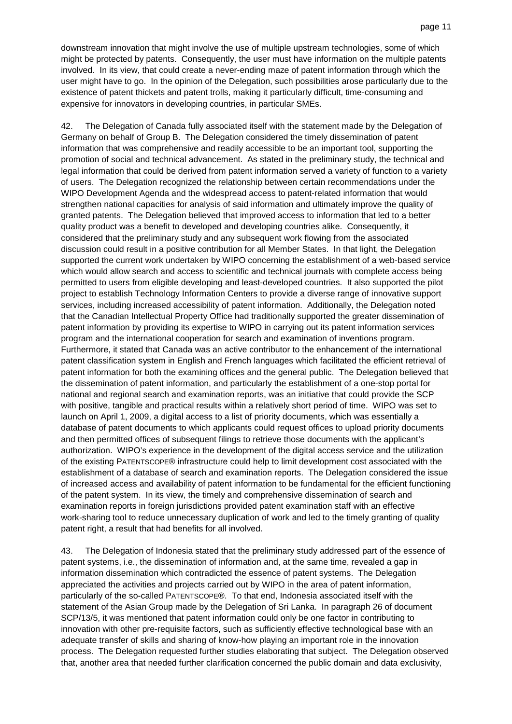downstream innovation that might involve the use of multiple upstream technologies, some of which might be protected by patents. Consequently, the user must have information on the multiple patents involved. In its view, that could create a never-ending maze of patent information through which the user might have to go. In the opinion of the Delegation, such possibilities arose particularly due to the existence of patent thickets and patent trolls, making it particularly difficult, time-consuming and expensive for innovators in developing countries, in particular SMEs.

42. The Delegation of Canada fully associated itself with the statement made by the Delegation of Germany on behalf of Group B. The Delegation considered the timely dissemination of patent information that was comprehensive and readily accessible to be an important tool, supporting the promotion of social and technical advancement. As stated in the preliminary study, the technical and legal information that could be derived from patent information served a variety of function to a variety of users. The Delegation recognized the relationship between certain recommendations under the WIPO Development Agenda and the widespread access to patent-related information that would strengthen national capacities for analysis of said information and ultimately improve the quality of granted patents. The Delegation believed that improved access to information that led to a better quality product was a benefit to developed and developing countries alike. Consequently, it considered that the preliminary study and any subsequent work flowing from the associated discussion could result in a positive contribution for all Member States. In that light, the Delegation supported the current work undertaken by WIPO concerning the establishment of a web-based service which would allow search and access to scientific and technical journals with complete access being permitted to users from eligible developing and least-developed countries. It also supported the pilot project to establish Technology Information Centers to provide a diverse range of innovative support services, including increased accessibility of patent information. Additionally, the Delegation noted that the Canadian Intellectual Property Office had traditionally supported the greater dissemination of patent information by providing its expertise to WIPO in carrying out its patent information services program and the international cooperation for search and examination of inventions program. Furthermore, it stated that Canada was an active contributor to the enhancement of the international patent classification system in English and French languages which facilitated the efficient retrieval of patent information for both the examining offices and the general public. The Delegation believed that the dissemination of patent information, and particularly the establishment of a one-stop portal for national and regional search and examination reports, was an initiative that could provide the SCP with positive, tangible and practical results within a relatively short period of time. WIPO was set to launch on April 1, 2009, a digital access to a list of priority documents, which was essentially a database of patent documents to which applicants could request offices to upload priority documents and then permitted offices of subsequent filings to retrieve those documents with the applicant's authorization. WIPO's experience in the development of the digital access service and the utilization of the existing PATENTSCOPE® infrastructure could help to limit development cost associated with the establishment of a database of search and examination reports. The Delegation considered the issue of increased access and availability of patent information to be fundamental for the efficient functioning of the patent system. In its view, the timely and comprehensive dissemination of search and examination reports in foreign jurisdictions provided patent examination staff with an effective work-sharing tool to reduce unnecessary duplication of work and led to the timely granting of quality patent right, a result that had benefits for all involved.

43. The Delegation of Indonesia stated that the preliminary study addressed part of the essence of patent systems, i.e., the dissemination of information and, at the same time, revealed a gap in information dissemination which contradicted the essence of patent systems. The Delegation appreciated the activities and projects carried out by WIPO in the area of patent information, particularly of the so-called PATENTSCOPE®. To that end, Indonesia associated itself with the statement of the Asian Group made by the Delegation of Sri Lanka. In paragraph 26 of document SCP/13/5, it was mentioned that patent information could only be one factor in contributing to innovation with other pre-requisite factors, such as sufficiently effective technological base with an adequate transfer of skills and sharing of know-how playing an important role in the innovation process. The Delegation requested further studies elaborating that subject. The Delegation observed that, another area that needed further clarification concerned the public domain and data exclusivity,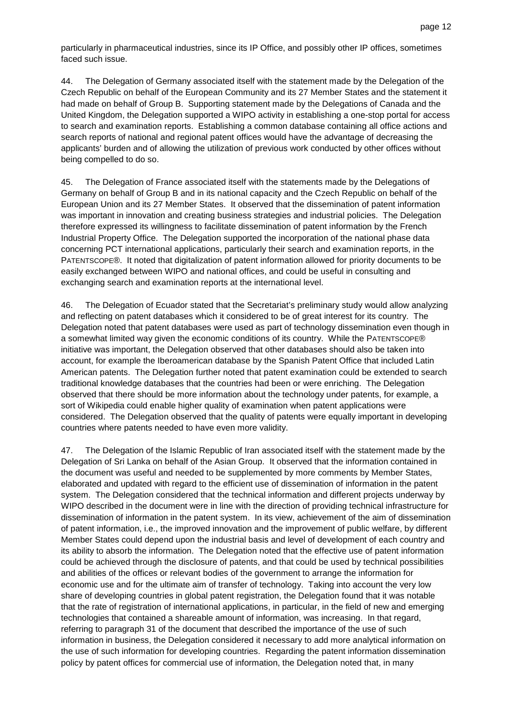particularly in pharmaceutical industries, since its IP Office, and possibly other IP offices, sometimes faced such issue.

44. The Delegation of Germany associated itself with the statement made by the Delegation of the Czech Republic on behalf of the European Community and its 27 Member States and the statement it had made on behalf of Group B. Supporting statement made by the Delegations of Canada and the United Kingdom, the Delegation supported a WIPO activity in establishing a one-stop portal for access to search and examination reports. Establishing a common database containing all office actions and search reports of national and regional patent offices would have the advantage of decreasing the applicants' burden and of allowing the utilization of previous work conducted by other offices without being compelled to do so.

45. The Delegation of France associated itself with the statements made by the Delegations of Germany on behalf of Group B and in its national capacity and the Czech Republic on behalf of the European Union and its 27 Member States. It observed that the dissemination of patent information was important in innovation and creating business strategies and industrial policies. The Delegation therefore expressed its willingness to facilitate dissemination of patent information by the French Industrial Property Office. The Delegation supported the incorporation of the national phase data concerning PCT international applications, particularly their search and examination reports, in the PATENTSCOPE®. It noted that digitalization of patent information allowed for priority documents to be easily exchanged between WIPO and national offices, and could be useful in consulting and exchanging search and examination reports at the international level.

46. The Delegation of Ecuador stated that the Secretariat's preliminary study would allow analyzing and reflecting on patent databases which it considered to be of great interest for its country. The Delegation noted that patent databases were used as part of technology dissemination even though in a somewhat limited way given the economic conditions of its country. While the PATENTSCOPE® initiative was important, the Delegation observed that other databases should also be taken into account, for example the Iberoamerican database by the Spanish Patent Office that included Latin American patents. The Delegation further noted that patent examination could be extended to search traditional knowledge databases that the countries had been or were enriching. The Delegation observed that there should be more information about the technology under patents, for example, a sort of Wikipedia could enable higher quality of examination when patent applications were considered. The Delegation observed that the quality of patents were equally important in developing countries where patents needed to have even more validity.

47. The Delegation of the Islamic Republic of Iran associated itself with the statement made by the Delegation of Sri Lanka on behalf of the Asian Group. It observed that the information contained in the document was useful and needed to be supplemented by more comments by Member States, elaborated and updated with regard to the efficient use of dissemination of information in the patent system. The Delegation considered that the technical information and different projects underway by WIPO described in the document were in line with the direction of providing technical infrastructure for dissemination of information in the patent system. In its view, achievement of the aim of dissemination of patent information, i.e., the improved innovation and the improvement of public welfare, by different Member States could depend upon the industrial basis and level of development of each country and its ability to absorb the information. The Delegation noted that the effective use of patent information could be achieved through the disclosure of patents, and that could be used by technical possibilities and abilities of the offices or relevant bodies of the government to arrange the information for economic use and for the ultimate aim of transfer of technology. Taking into account the very low share of developing countries in global patent registration, the Delegation found that it was notable that the rate of registration of international applications, in particular, in the field of new and emerging technologies that contained a shareable amount of information, was increasing. In that regard, referring to paragraph 31 of the document that described the importance of the use of such information in business, the Delegation considered it necessary to add more analytical information on the use of such information for developing countries. Regarding the patent information dissemination policy by patent offices for commercial use of information, the Delegation noted that, in many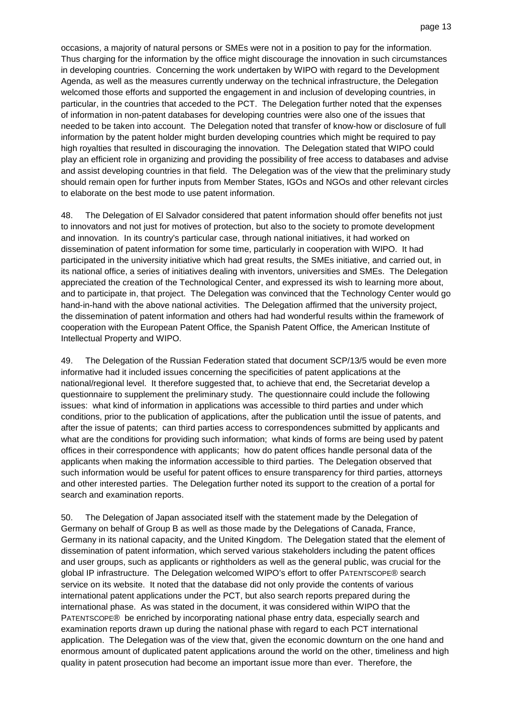occasions, a majority of natural persons or SMEs were not in a position to pay for the information. Thus charging for the information by the office might discourage the innovation in such circumstances in developing countries. Concerning the work undertaken by WIPO with regard to the Development Agenda, as well as the measures currently underway on the technical infrastructure, the Delegation welcomed those efforts and supported the engagement in and inclusion of developing countries, in particular, in the countries that acceded to the PCT. The Delegation further noted that the expenses of information in non-patent databases for developing countries were also one of the issues that needed to be taken into account. The Delegation noted that transfer of know-how or disclosure of full information by the patent holder might burden developing countries which might be required to pay high royalties that resulted in discouraging the innovation. The Delegation stated that WIPO could play an efficient role in organizing and providing the possibility of free access to databases and advise and assist developing countries in that field. The Delegation was of the view that the preliminary study should remain open for further inputs from Member States, IGOs and NGOs and other relevant circles to elaborate on the best mode to use patent information.

48. The Delegation of El Salvador considered that patent information should offer benefits not just to innovators and not just for motives of protection, but also to the society to promote development and innovation. In its country's particular case, through national initiatives, it had worked on dissemination of patent information for some time, particularly in cooperation with WIPO. It had participated in the university initiative which had great results, the SMEs initiative, and carried out, in its national office, a series of initiatives dealing with inventors, universities and SMEs. The Delegation appreciated the creation of the Technological Center, and expressed its wish to learning more about, and to participate in, that project. The Delegation was convinced that the Technology Center would go hand-in-hand with the above national activities. The Delegation affirmed that the university project, the dissemination of patent information and others had had wonderful results within the framework of cooperation with the European Patent Office, the Spanish Patent Office, the American Institute of Intellectual Property and WIPO.

49. The Delegation of the Russian Federation stated that document SCP/13/5 would be even more informative had it included issues concerning the specificities of patent applications at the national/regional level. It therefore suggested that, to achieve that end, the Secretariat develop a questionnaire to supplement the preliminary study. The questionnaire could include the following issues: what kind of information in applications was accessible to third parties and under which conditions, prior to the publication of applications, after the publication until the issue of patents, and after the issue of patents; can third parties access to correspondences submitted by applicants and what are the conditions for providing such information; what kinds of forms are being used by patent offices in their correspondence with applicants; how do patent offices handle personal data of the applicants when making the information accessible to third parties. The Delegation observed that such information would be useful for patent offices to ensure transparency for third parties, attorneys and other interested parties. The Delegation further noted its support to the creation of a portal for search and examination reports.

50. The Delegation of Japan associated itself with the statement made by the Delegation of Germany on behalf of Group B as well as those made by the Delegations of Canada, France, Germany in its national capacity, and the United Kingdom. The Delegation stated that the element of dissemination of patent information, which served various stakeholders including the patent offices and user groups, such as applicants or rightholders as well as the general public, was crucial for the global IP infrastructure. The Delegation welcomed WIPO's effort to offer PATENTSCOPE® search service on its website. It noted that the database did not only provide the contents of various international patent applications under the PCT, but also search reports prepared during the international phase. As was stated in the document, it was considered within WIPO that the PATENTSCOPE® be enriched by incorporating national phase entry data, especially search and examination reports drawn up during the national phase with regard to each PCT international application. The Delegation was of the view that, given the economic downturn on the one hand and enormous amount of duplicated patent applications around the world on the other, timeliness and high quality in patent prosecution had become an important issue more than ever. Therefore, the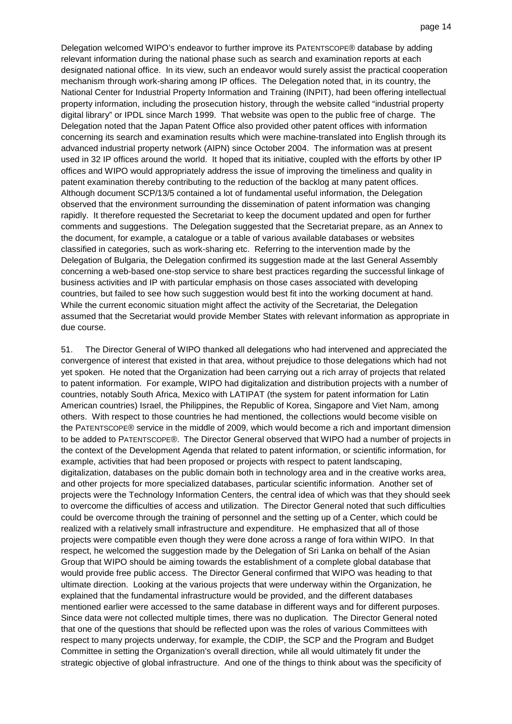Delegation welcomed WIPO's endeavor to further improve its PATENTSCOPE® database by adding relevant information during the national phase such as search and examination reports at each designated national office. In its view, such an endeavor would surely assist the practical cooperation mechanism through work-sharing among IP offices. The Delegation noted that, in its country, the National Center for Industrial Property Information and Training (INPIT), had been offering intellectual property information, including the prosecution history, through the website called "industrial property digital library" or IPDL since March 1999. That website was open to the public free of charge. The Delegation noted that the Japan Patent Office also provided other patent offices with information concerning its search and examination results which were machine-translated into English through its advanced industrial property network (AIPN) since October 2004. The information was at present used in 32 IP offices around the world. It hoped that its initiative, coupled with the efforts by other IP offices and WIPO would appropriately address the issue of improving the timeliness and quality in patent examination thereby contributing to the reduction of the backlog at many patent offices. Although document SCP/13/5 contained a lot of fundamental useful information, the Delegation observed that the environment surrounding the dissemination of patent information was changing rapidly. It therefore requested the Secretariat to keep the document updated and open for further comments and suggestions. The Delegation suggested that the Secretariat prepare, as an Annex to the document, for example, a catalogue or a table of various available databases or websites classified in categories, such as work-sharing etc. Referring to the intervention made by the Delegation of Bulgaria, the Delegation confirmed its suggestion made at the last General Assembly concerning a web-based one-stop service to share best practices regarding the successful linkage of business activities and IP with particular emphasis on those cases associated with developing countries, but failed to see how such suggestion would best fit into the working document at hand. While the current economic situation might affect the activity of the Secretariat, the Delegation assumed that the Secretariat would provide Member States with relevant information as appropriate in due course.

51. The Director General of WIPO thanked all delegations who had intervened and appreciated the convergence of interest that existed in that area, without prejudice to those delegations which had not yet spoken. He noted that the Organization had been carrying out a rich array of projects that related to patent information. For example, WIPO had digitalization and distribution projects with a number of countries, notably South Africa, Mexico with LATIPAT (the system for patent information for Latin American countries) Israel, the Philippines, the Republic of Korea, Singapore and Viet Nam, among others. With respect to those countries he had mentioned, the collections would become visible on the PATENTSCOPE® service in the middle of 2009, which would become a rich and important dimension to be added to PATENTSCOPE®. The Director General observed that WIPO had a number of projects in the context of the Development Agenda that related to patent information, or scientific information, for example, activities that had been proposed or projects with respect to patent landscaping, digitalization, databases on the public domain both in technology area and in the creative works area, and other projects for more specialized databases, particular scientific information. Another set of projects were the Technology Information Centers, the central idea of which was that they should seek to overcome the difficulties of access and utilization. The Director General noted that such difficulties could be overcome through the training of personnel and the setting up of a Center, which could be realized with a relatively small infrastructure and expenditure. He emphasized that all of those projects were compatible even though they were done across a range of fora within WIPO. In that respect, he welcomed the suggestion made by the Delegation of Sri Lanka on behalf of the Asian Group that WIPO should be aiming towards the establishment of a complete global database that would provide free public access. The Director General confirmed that WIPO was heading to that ultimate direction. Looking at the various projects that were underway within the Organization, he explained that the fundamental infrastructure would be provided, and the different databases mentioned earlier were accessed to the same database in different ways and for different purposes. Since data were not collected multiple times, there was no duplication. The Director General noted that one of the questions that should be reflected upon was the roles of various Committees with respect to many projects underway, for example, the CDIP, the SCP and the Program and Budget Committee in setting the Organization's overall direction, while all would ultimately fit under the strategic objective of global infrastructure. And one of the things to think about was the specificity of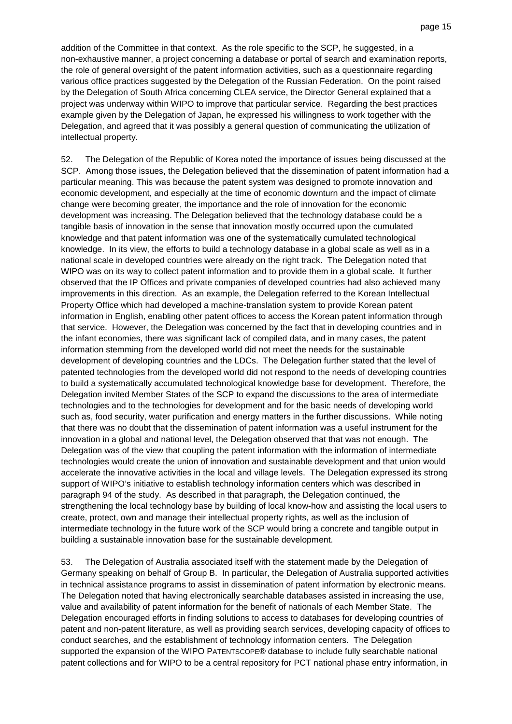addition of the Committee in that context. As the role specific to the SCP, he suggested, in a non-exhaustive manner, a project concerning a database or portal of search and examination reports, the role of general oversight of the patent information activities, such as a questionnaire regarding various office practices suggested by the Delegation of the Russian Federation. On the point raised by the Delegation of South Africa concerning CLEA service, the Director General explained that a project was underway within WIPO to improve that particular service. Regarding the best practices example given by the Delegation of Japan, he expressed his willingness to work together with the Delegation, and agreed that it was possibly a general question of communicating the utilization of intellectual property.

52. The Delegation of the Republic of Korea noted the importance of issues being discussed at the SCP. Among those issues, the Delegation believed that the dissemination of patent information had a particular meaning. This was because the patent system was designed to promote innovation and economic development, and especially at the time of economic downturn and the impact of climate change were becoming greater, the importance and the role of innovation for the economic development was increasing. The Delegation believed that the technology database could be a tangible basis of innovation in the sense that innovation mostly occurred upon the cumulated knowledge and that patent information was one of the systematically cumulated technological knowledge. In its view, the efforts to build a technology database in a global scale as well as in a national scale in developed countries were already on the right track. The Delegation noted that WIPO was on its way to collect patent information and to provide them in a global scale. It further observed that the IP Offices and private companies of developed countries had also achieved many improvements in this direction. As an example, the Delegation referred to the Korean Intellectual Property Office which had developed a machine-translation system to provide Korean patent information in English, enabling other patent offices to access the Korean patent information through that service. However, the Delegation was concerned by the fact that in developing countries and in the infant economies, there was significant lack of compiled data, and in many cases, the patent information stemming from the developed world did not meet the needs for the sustainable development of developing countries and the LDCs. The Delegation further stated that the level of patented technologies from the developed world did not respond to the needs of developing countries to build a systematically accumulated technological knowledge base for development. Therefore, the Delegation invited Member States of the SCP to expand the discussions to the area of intermediate technologies and to the technologies for development and for the basic needs of developing world such as, food security, water purification and energy matters in the further discussions. While noting that there was no doubt that the dissemination of patent information was a useful instrument for the innovation in a global and national level, the Delegation observed that that was not enough. The Delegation was of the view that coupling the patent information with the information of intermediate technologies would create the union of innovation and sustainable development and that union would accelerate the innovative activities in the local and village levels. The Delegation expressed its strong support of WIPO's initiative to establish technology information centers which was described in paragraph 94 of the study. As described in that paragraph, the Delegation continued, the strengthening the local technology base by building of local know-how and assisting the local users to create, protect, own and manage their intellectual property rights, as well as the inclusion of intermediate technology in the future work of the SCP would bring a concrete and tangible output in building a sustainable innovation base for the sustainable development.

53. The Delegation of Australia associated itself with the statement made by the Delegation of Germany speaking on behalf of Group B. In particular, the Delegation of Australia supported activities in technical assistance programs to assist in dissemination of patent information by electronic means. The Delegation noted that having electronically searchable databases assisted in increasing the use, value and availability of patent information for the benefit of nationals of each Member State. The Delegation encouraged efforts in finding solutions to access to databases for developing countries of patent and non-patent literature, as well as providing search services, developing capacity of offices to conduct searches, and the establishment of technology information centers. The Delegation supported the expansion of the WIPO PATENTSCOPE® database to include fully searchable national patent collections and for WIPO to be a central repository for PCT national phase entry information, in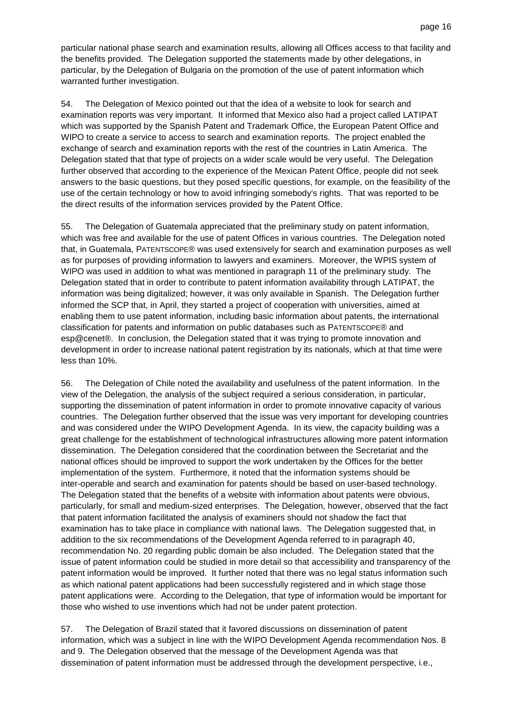particular national phase search and examination results, allowing all Offices access to that facility and the benefits provided. The Delegation supported the statements made by other delegations, in particular, by the Delegation of Bulgaria on the promotion of the use of patent information which warranted further investigation.

54. The Delegation of Mexico pointed out that the idea of a website to look for search and examination reports was very important. It informed that Mexico also had a project called LATIPAT which was supported by the Spanish Patent and Trademark Office, the European Patent Office and WIPO to create a service to access to search and examination reports. The project enabled the exchange of search and examination reports with the rest of the countries in Latin America. The Delegation stated that that type of projects on a wider scale would be very useful. The Delegation further observed that according to the experience of the Mexican Patent Office, people did not seek answers to the basic questions, but they posed specific questions, for example, on the feasibility of the use of the certain technology or how to avoid infringing somebody's rights. That was reported to be the direct results of the information services provided by the Patent Office.

55. The Delegation of Guatemala appreciated that the preliminary study on patent information, which was free and available for the use of patent Offices in various countries. The Delegation noted that, in Guatemala, PATENTSCOPE® was used extensively for search and examination purposes as well as for purposes of providing information to lawyers and examiners. Moreover, the WPIS system of WIPO was used in addition to what was mentioned in paragraph 11 of the preliminary study. The Delegation stated that in order to contribute to patent information availability through LATIPAT, the information was being digitalized; however, it was only available in Spanish. The Delegation further informed the SCP that, in April, they started a project of cooperation with universities, aimed at enabling them to use patent information, including basic information about patents, the international classification for patents and information on public databases such as PATENTSCOPE® and esp@cenet®. In conclusion, the Delegation stated that it was trying to promote innovation and development in order to increase national patent registration by its nationals, which at that time were less than 10%.

56. The Delegation of Chile noted the availability and usefulness of the patent information. In the view of the Delegation, the analysis of the subject required a serious consideration, in particular, supporting the dissemination of patent information in order to promote innovative capacity of various countries. The Delegation further observed that the issue was very important for developing countries and was considered under the WIPO Development Agenda. In its view, the capacity building was a great challenge for the establishment of technological infrastructures allowing more patent information dissemination. The Delegation considered that the coordination between the Secretariat and the national offices should be improved to support the work undertaken by the Offices for the better implementation of the system. Furthermore, it noted that the information systems should be inter-operable and search and examination for patents should be based on user-based technology. The Delegation stated that the benefits of a website with information about patents were obvious, particularly, for small and medium-sized enterprises. The Delegation, however, observed that the fact that patent information facilitated the analysis of examiners should not shadow the fact that examination has to take place in compliance with national laws. The Delegation suggested that, in addition to the six recommendations of the Development Agenda referred to in paragraph 40, recommendation No. 20 regarding public domain be also included. The Delegation stated that the issue of patent information could be studied in more detail so that accessibility and transparency of the patent information would be improved. It further noted that there was no legal status information such as which national patent applications had been successfully registered and in which stage those patent applications were. According to the Delegation, that type of information would be important for those who wished to use inventions which had not be under patent protection.

57. The Delegation of Brazil stated that it favored discussions on dissemination of patent information, which was a subject in line with the WIPO Development Agenda recommendation Nos. 8 and 9. The Delegation observed that the message of the Development Agenda was that dissemination of patent information must be addressed through the development perspective, i.e.,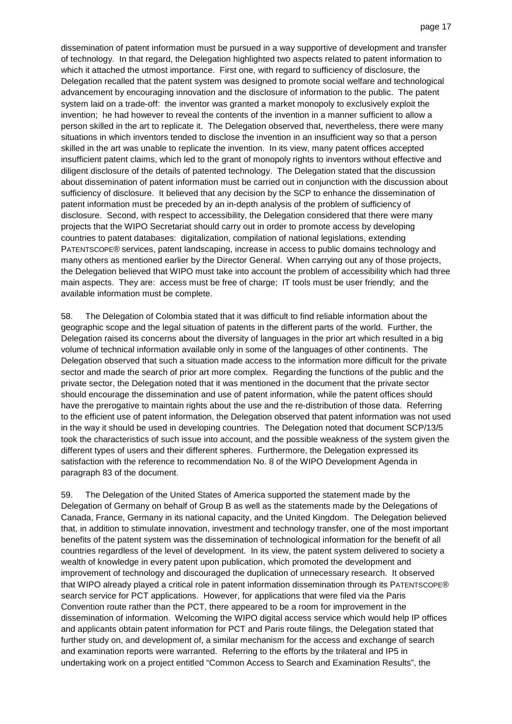dissemination of patent information must be pursued in a way supportive of development and transfer of technology. In that regard, the Delegation highlighted two aspects related to patent information to which it attached the utmost importance. First one, with regard to sufficiency of disclosure, the Delegation recalled that the patent system was designed to promote social welfare and technological advancement by encouraging innovation and the disclosure of information to the public. The patent system laid on a trade-off: the inventor was granted a market monopoly to exclusively exploit the invention; he had however to reveal the contents of the invention in a manner sufficient to allow a person skilled in the art to replicate it. The Delegation observed that, nevertheless, there were many situations in which inventors tended to disclose the invention in an insufficient way so that a person skilled in the art was unable to replicate the invention. In its view, many patent offices accepted insufficient patent claims, which led to the grant of monopoly rights to inventors without effective and diligent disclosure of the details of patented technology. The Delegation stated that the discussion about dissemination of patent information must be carried out in conjunction with the discussion about sufficiency of disclosure. It believed that any decision by the SCP to enhance the dissemination of patent information must be preceded by an in-depth analysis of the problem of sufficiency of disclosure. Second, with respect to accessibility, the Delegation considered that there were many projects that the WIPO Secretariat should carry out in order to promote access by developing countries to patent databases: digitalization, compilation of national legislations, extending PATENTSCOPE® services, patent landscaping, increase in access to public domains technology and many others as mentioned earlier by the Director General. When carrying out any of those projects, the Delegation believed that WIPO must take into account the problem of accessibility which had three main aspects. They are: access must be free of charge; IT tools must be user friendly; and the available information must be complete.

58. The Delegation of Colombia stated that it was difficult to find reliable information about the geographic scope and the legal situation of patents in the different parts of the world. Further, the Delegation raised its concerns about the diversity of languages in the prior art which resulted in a big volume of technical information available only in some of the languages of other continents. The Delegation observed that such a situation made access to the information more difficult for the private sector and made the search of prior art more complex. Regarding the functions of the public and the private sector, the Delegation noted that it was mentioned in the document that the private sector should encourage the dissemination and use of patent information, while the patent offices should have the prerogative to maintain rights about the use and the re-distribution of those data. Referring to the efficient use of patent information, the Delegation observed that patent information was not used in the way it should be used in developing countries. The Delegation noted that document SCP/13/5 took the characteristics of such issue into account, and the possible weakness of the system given the different types of users and their different spheres. Furthermore, the Delegation expressed its satisfaction with the reference to recommendation No. 8 of the WIPO Development Agenda in paragraph 83 of the document.

59. The Delegation of the United States of America supported the statement made by the Delegation of Germany on behalf of Group B as well as the statements made by the Delegations of Canada, France, Germany in its national capacity, and the United Kingdom. The Delegation believed that, in addition to stimulate innovation, investment and technology transfer, one of the most important benefits of the patent system was the dissemination of technological information for the benefit of all countries regardless of the level of development. In its view, the patent system delivered to society a wealth of knowledge in every patent upon publication, which promoted the development and improvement of technology and discouraged the duplication of unnecessary research. It observed that WIPO already played a critical role in patent information dissemination through its PATENTSCOPE® search service for PCT applications. However, for applications that were filed via the Paris Convention route rather than the PCT, there appeared to be a room for improvement in the dissemination of information. Welcoming the WIPO digital access service which would help IP offices and applicants obtain patent information for PCT and Paris route filings, the Delegation stated that further study on, and development of, a similar mechanism for the access and exchange of search and examination reports were warranted. Referring to the efforts by the trilateral and IP5 in undertaking work on a project entitled "Common Access to Search and Examination Results", the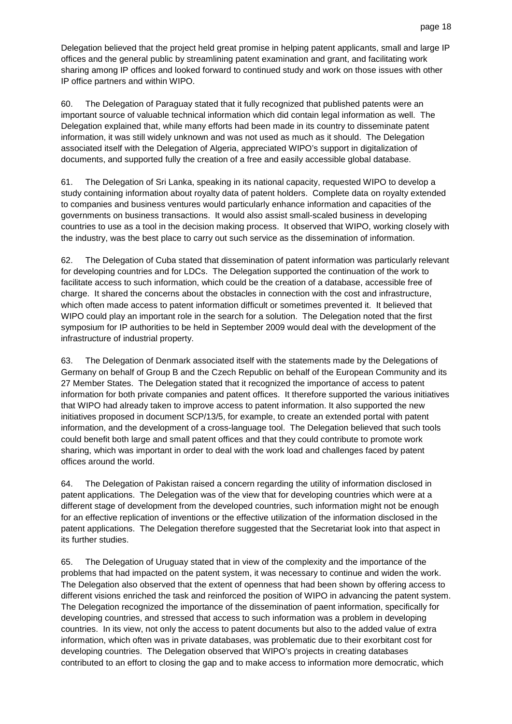Delegation believed that the project held great promise in helping patent applicants, small and large IP offices and the general public by streamlining patent examination and grant, and facilitating work sharing among IP offices and looked forward to continued study and work on those issues with other IP office partners and within WIPO.

60. The Delegation of Paraguay stated that it fully recognized that published patents were an important source of valuable technical information which did contain legal information as well. The Delegation explained that, while many efforts had been made in its country to disseminate patent information, it was still widely unknown and was not used as much as it should. The Delegation associated itself with the Delegation of Algeria, appreciated WIPO's support in digitalization of documents, and supported fully the creation of a free and easily accessible global database.

61. The Delegation of Sri Lanka, speaking in its national capacity, requested WIPO to develop a study containing information about royalty data of patent holders. Complete data on royalty extended to companies and business ventures would particularly enhance information and capacities of the governments on business transactions. It would also assist small-scaled business in developing countries to use as a tool in the decision making process. It observed that WIPO, working closely with the industry, was the best place to carry out such service as the dissemination of information.

62. The Delegation of Cuba stated that dissemination of patent information was particularly relevant for developing countries and for LDCs. The Delegation supported the continuation of the work to facilitate access to such information, which could be the creation of a database, accessible free of charge. It shared the concerns about the obstacles in connection with the cost and infrastructure, which often made access to patent information difficult or sometimes prevented it. It believed that WIPO could play an important role in the search for a solution. The Delegation noted that the first symposium for IP authorities to be held in September 2009 would deal with the development of the infrastructure of industrial property.

63. The Delegation of Denmark associated itself with the statements made by the Delegations of Germany on behalf of Group B and the Czech Republic on behalf of the European Community and its 27 Member States. The Delegation stated that it recognized the importance of access to patent information for both private companies and patent offices. It therefore supported the various initiatives that WIPO had already taken to improve access to patent information. It also supported the new initiatives proposed in document SCP/13/5, for example, to create an extended portal with patent information, and the development of a cross-language tool. The Delegation believed that such tools could benefit both large and small patent offices and that they could contribute to promote work sharing, which was important in order to deal with the work load and challenges faced by patent offices around the world.

64. The Delegation of Pakistan raised a concern regarding the utility of information disclosed in patent applications. The Delegation was of the view that for developing countries which were at a different stage of development from the developed countries, such information might not be enough for an effective replication of inventions or the effective utilization of the information disclosed in the patent applications. The Delegation therefore suggested that the Secretariat look into that aspect in its further studies.

65. The Delegation of Uruguay stated that in view of the complexity and the importance of the problems that had impacted on the patent system, it was necessary to continue and widen the work. The Delegation also observed that the extent of openness that had been shown by offering access to different visions enriched the task and reinforced the position of WIPO in advancing the patent system. The Delegation recognized the importance of the dissemination of paent information, specifically for developing countries, and stressed that access to such information was a problem in developing countries. In its view, not only the access to patent documents but also to the added value of extra information, which often was in private databases, was problematic due to their exorbitant cost for developing countries. The Delegation observed that WIPO's projects in creating databases contributed to an effort to closing the gap and to make access to information more democratic, which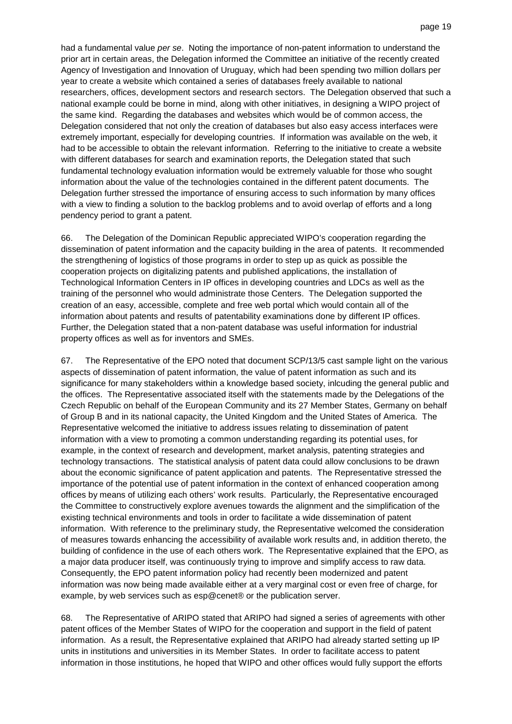had a fundamental value per se. Noting the importance of non-patent information to understand the prior art in certain areas, the Delegation informed the Committee an initiative of the recently created Agency of Investigation and Innovation of Uruguay, which had been spending two million dollars per year to create a website which contained a series of databases freely available to national researchers, offices, development sectors and research sectors. The Delegation observed that such a national example could be borne in mind, along with other initiatives, in designing a WIPO project of the same kind. Regarding the databases and websites which would be of common access, the Delegation considered that not only the creation of databases but also easy access interfaces were extremely important, especially for developing countries. If information was available on the web, it had to be accessible to obtain the relevant information. Referring to the initiative to create a website with different databases for search and examination reports, the Delegation stated that such fundamental technology evaluation information would be extremely valuable for those who sought information about the value of the technologies contained in the different patent documents. The Delegation further stressed the importance of ensuring access to such information by many offices with a view to finding a solution to the backlog problems and to avoid overlap of efforts and a long pendency period to grant a patent.

66. The Delegation of the Dominican Republic appreciated WIPO's cooperation regarding the dissemination of patent information and the capacity building in the area of patents. It recommended the strengthening of logistics of those programs in order to step up as quick as possible the cooperation projects on digitalizing patents and published applications, the installation of Technological Information Centers in IP offices in developing countries and LDCs as well as the training of the personnel who would administrate those Centers. The Delegation supported the creation of an easy, accessible, complete and free web portal which would contain all of the information about patents and results of patentability examinations done by different IP offices. Further, the Delegation stated that a non-patent database was useful information for industrial property offices as well as for inventors and SMEs.

67. The Representative of the EPO noted that document SCP/13/5 cast sample light on the various aspects of dissemination of patent information, the value of patent information as such and its significance for many stakeholders within a knowledge based society, inlcuding the general public and the offices. The Representative associated itself with the statements made by the Delegations of the Czech Republic on behalf of the European Community and its 27 Member States, Germany on behalf of Group B and in its national capacity, the United Kingdom and the United States of America. The Representative welcomed the initiative to address issues relating to dissemination of patent information with a view to promoting a common understanding regarding its potential uses, for example, in the context of research and development, market analysis, patenting strategies and technology transactions. The statistical analysis of patent data could allow conclusions to be drawn about the economic significance of patent application and patents. The Representative stressed the importance of the potential use of patent information in the context of enhanced cooperation among offices by means of utilizing each others' work results. Particularly, the Representative encouraged the Committee to constructively explore avenues towards the alignment and the simplification of the existing technical environments and tools in order to facilitate a wide dissemination of patent information. With reference to the preliminary study, the Representative welcomed the consideration of measures towards enhancing the accessibility of available work results and, in addition thereto, the building of confidence in the use of each others work. The Representative explained that the EPO, as a major data producer itself, was continuously trying to improve and simplify access to raw data. Consequently, the EPO patent information policy had recently been modernized and patent information was now being made available either at a very marginal cost or even free of charge, for example, by web services such as esp@cenet® or the publication server.

68. The Representative of ARIPO stated that ARIPO had signed a series of agreements with other patent offices of the Member States of WIPO for the cooperation and support in the field of patent information. As a result, the Representative explained that ARIPO had already started setting up IP units in institutions and universities in its Member States. In order to facilitate access to patent information in those institutions, he hoped that WIPO and other offices would fully support the efforts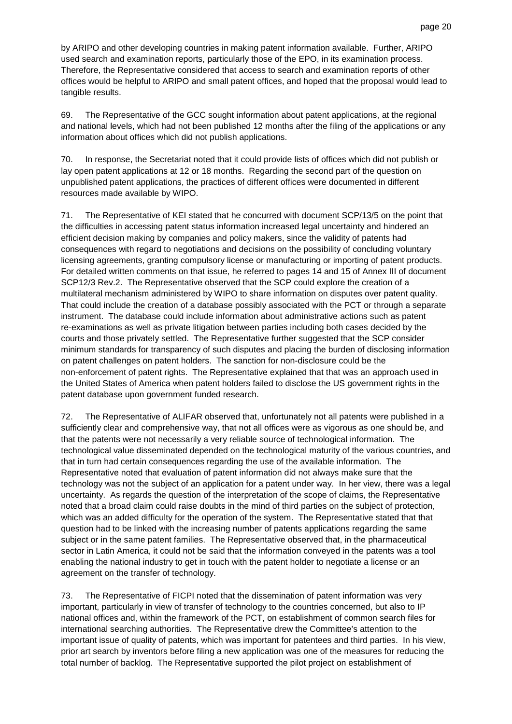by ARIPO and other developing countries in making patent information available. Further, ARIPO used search and examination reports, particularly those of the EPO, in its examination process. Therefore, the Representative considered that access to search and examination reports of other offices would be helpful to ARIPO and small patent offices, and hoped that the proposal would lead to tangible results.

69. The Representative of the GCC sought information about patent applications, at the regional and national levels, which had not been published 12 months after the filing of the applications or any information about offices which did not publish applications.

70. In response, the Secretariat noted that it could provide lists of offices which did not publish or lay open patent applications at 12 or 18 months. Regarding the second part of the question on unpublished patent applications, the practices of different offices were documented in different resources made available by WIPO.

71. The Representative of KEI stated that he concurred with document SCP/13/5 on the point that the difficulties in accessing patent status information increased legal uncertainty and hindered an efficient decision making by companies and policy makers, since the validity of patents had consequences with regard to negotiations and decisions on the possibility of concluding voluntary licensing agreements, granting compulsory license or manufacturing or importing of patent products. For detailed written comments on that issue, he referred to pages 14 and 15 of Annex III of document SCP12/3 Rev.2. The Representative observed that the SCP could explore the creation of a multilateral mechanism administered by WIPO to share information on disputes over patent quality. That could include the creation of a database possibly associated with the PCT or through a separate instrument. The database could include information about administrative actions such as patent re-examinations as well as private litigation between parties including both cases decided by the courts and those privately settled. The Representative further suggested that the SCP consider minimum standards for transparency of such disputes and placing the burden of disclosing information on patent challenges on patent holders. The sanction for non-disclosure could be the non-enforcement of patent rights. The Representative explained that that was an approach used in the United States of America when patent holders failed to disclose the US government rights in the patent database upon government funded research.

72. The Representative of ALIFAR observed that, unfortunately not all patents were published in a sufficiently clear and comprehensive way, that not all offices were as vigorous as one should be, and that the patents were not necessarily a very reliable source of technological information. The technological value disseminated depended on the technological maturity of the various countries, and that in turn had certain consequences regarding the use of the available information. The Representative noted that evaluation of patent information did not always make sure that the technology was not the subject of an application for a patent under way. In her view, there was a legal uncertainty. As regards the question of the interpretation of the scope of claims, the Representative noted that a broad claim could raise doubts in the mind of third parties on the subject of protection, which was an added difficulty for the operation of the system. The Representative stated that that question had to be linked with the increasing number of patents applications regarding the same subject or in the same patent families. The Representative observed that, in the pharmaceutical sector in Latin America, it could not be said that the information conveyed in the patents was a tool enabling the national industry to get in touch with the patent holder to negotiate a license or an agreement on the transfer of technology.

73. The Representative of FICPI noted that the dissemination of patent information was very important, particularly in view of transfer of technology to the countries concerned, but also to IP national offices and, within the framework of the PCT, on establishment of common search files for international searching authorities. The Representative drew the Committee's attention to the important issue of quality of patents, which was important for patentees and third parties. In his view, prior art search by inventors before filing a new application was one of the measures for reducing the total number of backlog. The Representative supported the pilot project on establishment of